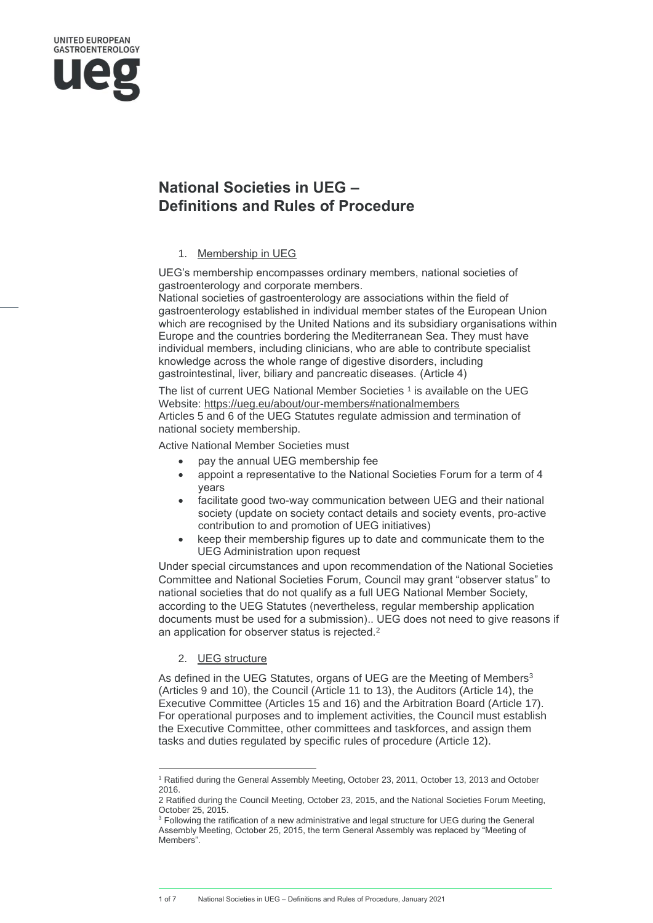# **National Societies in UEG – Definitions and Rules of Procedure**

## 1. Membership in UEG

UEG's membership encompasses ordinary members, national societies of gastroenterology and corporate members.

National societies of gastroenterology are associations within the field of gastroenterology established in individual member states of the European Union which are recognised by the United Nations and its subsidiary organisations within Europe and the countries bordering the Mediterranean Sea. They must have individual members, including clinicians, who are able to contribute specialist knowledge across the whole range of digestive disorders, including gastrointestinal, liver, biliary and pancreatic diseases. (Article 4)

The list of current UEG National Member Societies<sup>1</sup> is available on the UEG Website: <https://ueg.eu/about/our-members#nationalmembers> Articles 5 and 6 of the UEG Statutes regulate admission and termination of national society membership.

Active National Member Societies must

- pay the annual UEG membership fee
- appoint a representative to the National Societies Forum for a term of 4 years
- facilitate good two-way communication between UEG and their national society (update on society contact details and society events, pro-active contribution to and promotion of UEG initiatives)
- keep their membership figures up to date and communicate them to the UEG Administration upon request

Under special circumstances and upon recommendation of the National Societies Committee and National Societies Forum, Council may grant "observer status" to national societies that do not qualify as a full UEG National Member Society, according to the UEG Statutes (nevertheless, regular membership application documents must be used for a submission).. UEG does not need to give reasons if an application for observer status is rejected.<sup>2</sup>

# 2. UEG structure

As defined in the UEG Statutes, organs of UEG are the Meeting of Members<sup>3</sup> (Articles 9 and 10), the Council (Article 11 to 13), the Auditors (Article 14), the Executive Committee (Articles 15 and 16) and the Arbitration Board (Article 17). For operational purposes and to implement activities, the Council must establish the Executive Committee, other committees and taskforces, and assign them tasks and duties regulated by specific rules of procedure (Article 12).

1 of 7 National Societies in UEG – Definitions and Rules of Procedure, January 2021

<sup>1</sup> Ratified during the General Assembly Meeting, October 23, 2011, October 13, 2013 and October 2016.

<sup>2</sup> Ratified during the Council Meeting, October 23, 2015, and the National Societies Forum Meeting, October 25, 2015.

<sup>&</sup>lt;sup>3</sup> Following the ratification of a new administrative and legal structure for UEG during the General Assembly Meeting, October 25, 2015, the term General Assembly was replaced by "Meeting of Members".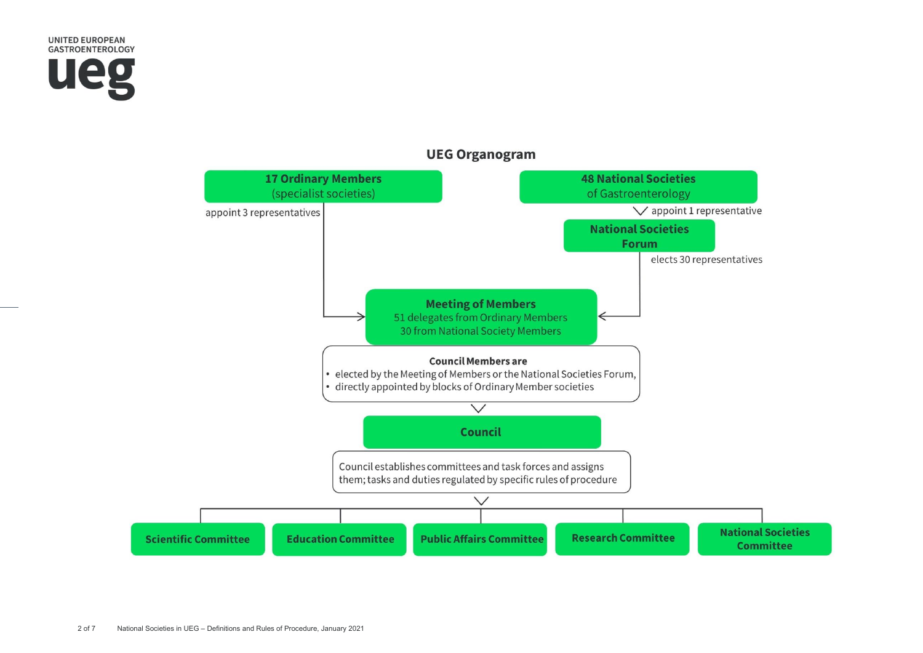



**UEG Organogram**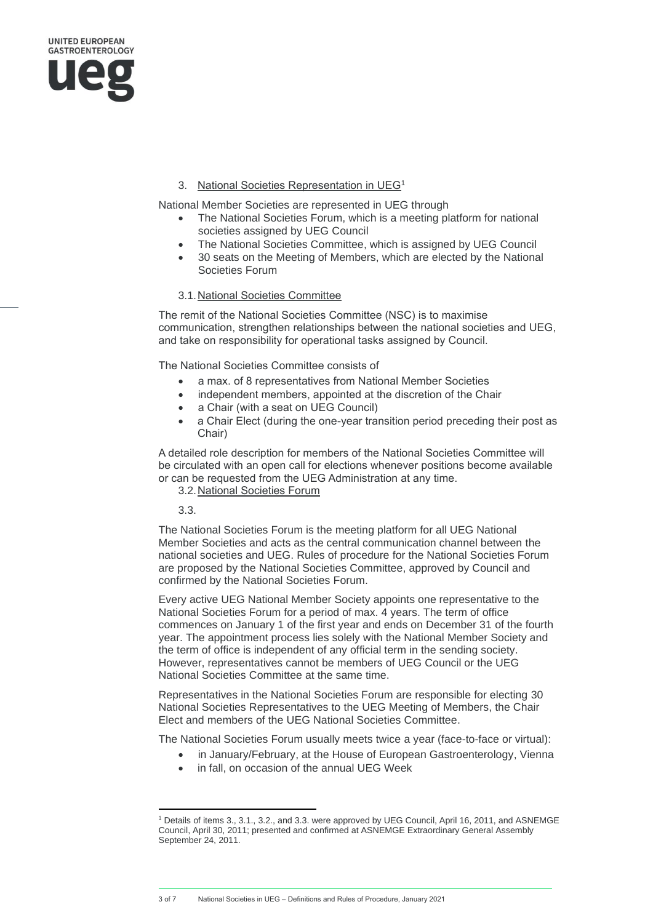

# 3. National Societies Representation in UEG<sup>1</sup>

National Member Societies are represented in UEG through

- The National Societies Forum, which is a meeting platform for national societies assigned by UEG Council
- The National Societies Committee, which is assigned by UEG Council
- 30 seats on the Meeting of Members, which are elected by the National Societies Forum

## 3.1.National Societies Committee

The remit of the National Societies Committee (NSC) is to maximise communication, strengthen relationships between the national societies and UEG, and take on responsibility for operational tasks assigned by Council.

The National Societies Committee consists of

- a max. of 8 representatives from National Member Societies
- independent members, appointed at the discretion of the Chair
- a Chair (with a seat on UEG Council)
- a Chair Elect (during the one-year transition period preceding their post as Chair)

A detailed role description for members of the National Societies Committee will be circulated with an open call for elections whenever positions become available or can be requested from the UEG Administration at any time.

3.2.National Societies Forum

3.3.

The National Societies Forum is the meeting platform for all UEG National Member Societies and acts as the central communication channel between the national societies and UEG. Rules of procedure for the National Societies Forum are proposed by the National Societies Committee, approved by Council and confirmed by the National Societies Forum.

Every active UEG National Member Society appoints one representative to the National Societies Forum for a period of max. 4 years. The term of office commences on January 1 of the first year and ends on December 31 of the fourth year. The appointment process lies solely with the National Member Society and the term of office is independent of any official term in the sending society. However, representatives cannot be members of UEG Council or the UEG National Societies Committee at the same time.

Representatives in the National Societies Forum are responsible for electing 30 National Societies Representatives to the UEG Meeting of Members, the Chair Elect and members of the UEG National Societies Committee.

The National Societies Forum usually meets twice a year (face-to-face or virtual):

- in January/February, at the House of European Gastroenterology, Vienna
- in fall, on occasion of the annual UEG Week

3 of 7 National Societies in UEG – Definitions and Rules of Procedure, January 2021

<sup>1</sup> Details of items 3., 3.1., 3.2., and 3.3. were approved by UEG Council, April 16, 2011, and ASNEMGE Council, April 30, 2011; presented and confirmed at ASNEMGE Extraordinary General Assembly September 24, 2011.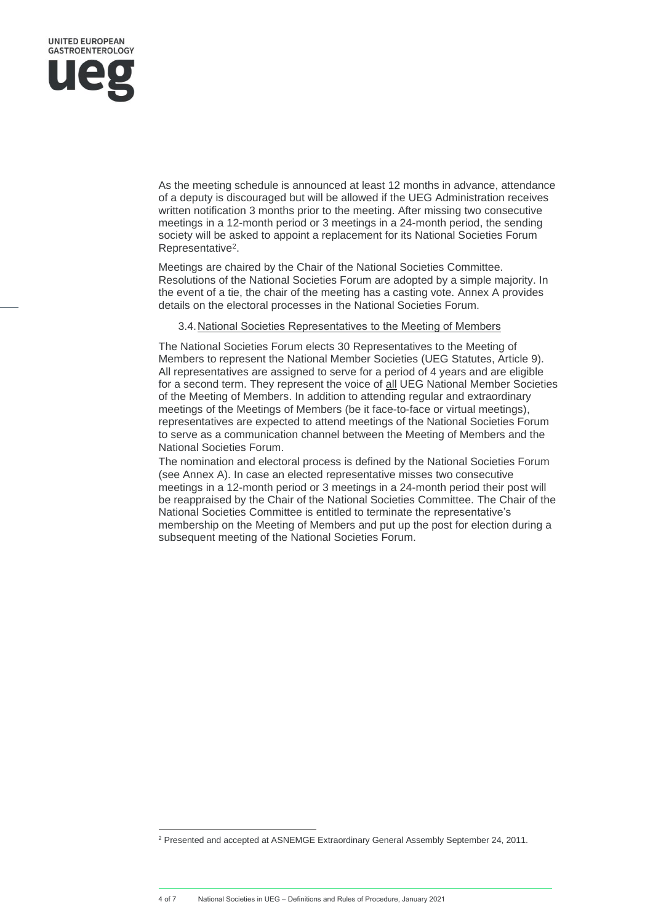

As the meeting schedule is announced at least 12 months in advance, attendance of a deputy is discouraged but will be allowed if the UEG Administration receives written notification 3 months prior to the meeting. After missing two consecutive meetings in a 12-month period or 3 meetings in a 24-month period, the sending society will be asked to appoint a replacement for its National Societies Forum Representative<sup>2</sup>.

Meetings are chaired by the Chair of the National Societies Committee. Resolutions of the National Societies Forum are adopted by a simple majority. In the event of a tie, the chair of the meeting has a casting vote. Annex A provides details on the electoral processes in the National Societies Forum.

#### 3.4.National Societies Representatives to the Meeting of Members

The National Societies Forum elects 30 Representatives to the Meeting of Members to represent the National Member Societies (UEG Statutes, Article 9). All representatives are assigned to serve for a period of 4 years and are eligible for a second term. They represent the voice of all UEG National Member Societies of the Meeting of Members. In addition to attending regular and extraordinary meetings of the Meetings of Members (be it face-to-face or virtual meetings), representatives are expected to attend meetings of the National Societies Forum to serve as a communication channel between the Meeting of Members and the National Societies Forum.

The nomination and electoral process is defined by the National Societies Forum (see Annex A). In case an elected representative misses two consecutive meetings in a 12-month period or 3 meetings in a 24-month period their post will be reappraised by the Chair of the National Societies Committee. The Chair of the National Societies Committee is entitled to terminate the representative's membership on the Meeting of Members and put up the post for election during a subsequent meeting of the National Societies Forum.

<sup>2</sup> Presented and accepted at ASNEMGE Extraordinary General Assembly September 24, 2011.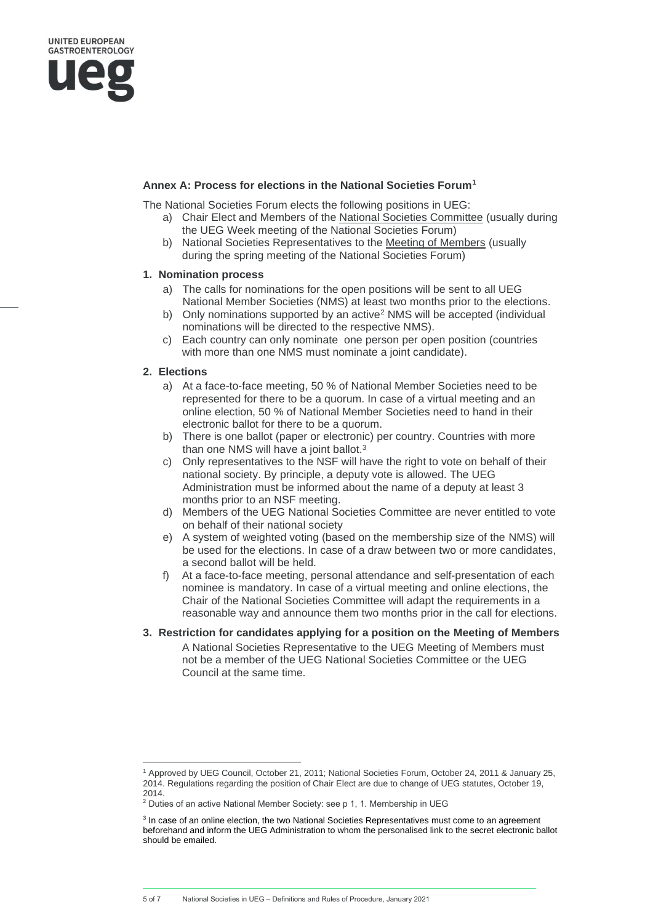## **Annex A: Process for elections in the National Societies Forum<sup>1</sup>**

The National Societies Forum elects the following positions in UEG:

- a) Chair Elect and Members of the [National Societies Committee](http://www.ueg.eu/about-ueg/structure/boards-committees/national-societies-committee/) (usually during the UEG Week meeting of the National Societies Forum)
- b) National Societies Representatives to the [Meeting of Members](https://www.ueg.eu/about-ueg/structure/boards-committees/meeting-of-members/) (usually during the spring meeting of the National Societies Forum)

#### **1. Nomination process**

- a) The calls for nominations for the open positions will be sent to all UEG National Member Societies (NMS) at least two months prior to the elections.
- b) Only nominations supported by an active<sup>2</sup> NMS will be accepted (individual nominations will be directed to the respective NMS).
- c) Each country can only nominate one person per open position (countries with more than one NMS must nominate a joint candidate).

#### **2. Elections**

- a) At a face-to-face meeting, 50 % of National Member Societies need to be represented for there to be a quorum. In case of a virtual meeting and an online election, 50 % of National Member Societies need to hand in their electronic ballot for there to be a quorum.
- b) There is one ballot (paper or electronic) per country. Countries with more than one NMS will have a joint ballot.<sup>3</sup>
- c) Only representatives to the NSF will have the right to vote on behalf of their national society. By principle, a deputy vote is allowed. The UEG Administration must be informed about the name of a deputy at least 3 months prior to an NSF meeting.
- d) Members of the UEG National Societies Committee are never entitled to vote on behalf of their national society
- e) A system of weighted voting (based on the membership size of the NMS) will be used for the elections. In case of a draw between two or more candidates, a second ballot will be held.
- f) At a face-to-face meeting, personal attendance and self-presentation of each nominee is mandatory. In case of a virtual meeting and online elections, the Chair of the National Societies Committee will adapt the requirements in a reasonable way and announce them two months prior in the call for elections.
- **3. Restriction for candidates applying for a position on the Meeting of Members** A National Societies Representative to the UEG Meeting of Members must not be a member of the UEG National Societies Committee or the UEG Council at the same time.

<sup>1</sup> Approved by UEG Council, October 21, 2011; National Societies Forum, October 24, 2011 & January 25, 2014. Regulations regarding the position of Chair Elect are due to change of UEG statutes, October 19, 2014.

<sup>&</sup>lt;sup>2</sup> Duties of an active National Member Society: see p 1, 1. Membership in UEG

<sup>&</sup>lt;sup>3</sup> In case of an online election, the two National Societies Representatives must come to an agreement beforehand and inform the UEG Administration to whom the personalised link to the secret electronic ballot should be emailed.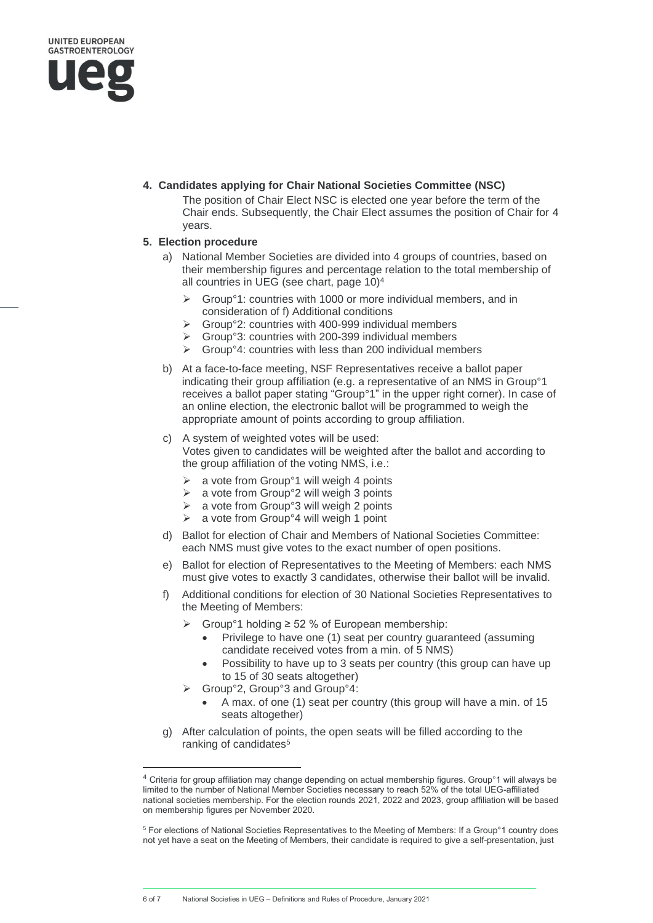

# **4. Candidates applying for Chair National Societies Committee (NSC)**

The position of Chair Elect NSC is elected one year before the term of the Chair ends. Subsequently, the Chair Elect assumes the position of Chair for 4 years.

# **5. Election procedure**

- a) National Member Societies are divided into 4 groups of countries, based on their membership figures and percentage relation to the total membership of all countries in UEG (see chart, page 10)<sup>4</sup>
	- ➢ Group°1: countries with 1000 or more individual members, and in consideration of f) Additional conditions
	- ➢ Group°2: countries with 400-999 individual members
	- ➢ Group°3: countries with 200-399 individual members
	- ➢ Group°4: countries with less than 200 individual members
- b) At a face-to-face meeting, NSF Representatives receive a ballot paper indicating their group affiliation (e.g. a representative of an NMS in Group°1 receives a ballot paper stating "Group°1" in the upper right corner). In case of an online election, the electronic ballot will be programmed to weigh the appropriate amount of points according to group affiliation.
- c) A system of weighted votes will be used: Votes given to candidates will be weighted after the ballot and according to the group affiliation of the voting NMS, i.e.:
	- $\geq$  a vote from Group<sup>o</sup> 1 will weigh 4 points
	- $\triangleright$  a vote from Group°2 will weigh 3 points
	- ➢ a vote from Group°3 will weigh 2 points
	- ➢ a vote from Group°4 will weigh 1 point
- d) Ballot for election of Chair and Members of National Societies Committee: each NMS must give votes to the exact number of open positions.
- e) Ballot for election of Representatives to the Meeting of Members: each NMS must give votes to exactly 3 candidates, otherwise their ballot will be invalid.
- f) Additional conditions for election of 30 National Societies Representatives to the Meeting of Members:
	- $\triangleright$  Group<sup>o</sup>1 holding  $\geq$  52 % of European membership:
		- Privilege to have one (1) seat per country guaranteed (assuming candidate received votes from a min. of 5 NMS)
		- Possibility to have up to 3 seats per country (this group can have up to 15 of 30 seats altogether)
	- ➢ Group°2, Group°3 and Group°4:
		- A max. of one (1) seat per country (this group will have a min. of 15 seats altogether)
- g) After calculation of points, the open seats will be filled according to the ranking of candidates<sup>5</sup>

<sup>4</sup> Criteria for group affiliation may change depending on actual membership figures. Group°1 will always be limited to the number of National Member Societies necessary to reach 52% of the total UEG-affiliated national societies membership. For the election rounds 2021, 2022 and 2023, group affiliation will be based on membership figures per November 2020.

<sup>5</sup> For elections of National Societies Representatives to the Meeting of Members: If a Group°1 country does not yet have a seat on the Meeting of Members, their candidate is required to give a self-presentation, just